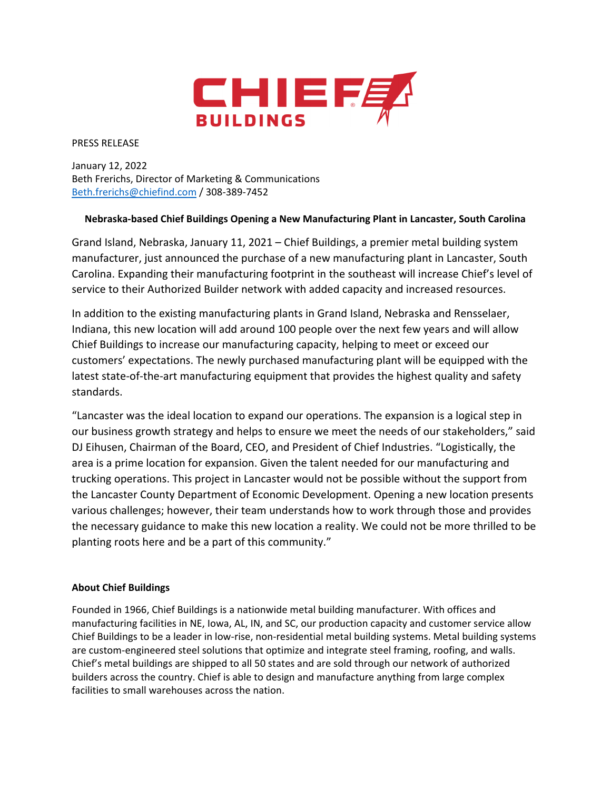

PRESS RELEASE

January 12, 2022 Beth Frerichs, Director of Marketing & Communications Beth.frerichs@chiefind.com / 308‐389‐7452

## **Nebraska‐based Chief Buildings Opening a New Manufacturing Plant in Lancaster, South Carolina**

Grand Island, Nebraska, January 11, 2021 – Chief Buildings, a premier metal building system manufacturer, just announced the purchase of a new manufacturing plant in Lancaster, South Carolina. Expanding their manufacturing footprint in the southeast will increase Chief's level of service to their Authorized Builder network with added capacity and increased resources.

In addition to the existing manufacturing plants in Grand Island, Nebraska and Rensselaer, Indiana, this new location will add around 100 people over the next few years and will allow Chief Buildings to increase our manufacturing capacity, helping to meet or exceed our customers' expectations. The newly purchased manufacturing plant will be equipped with the latest state-of-the-art manufacturing equipment that provides the highest quality and safety standards.

"Lancaster was the ideal location to expand our operations. The expansion is a logical step in our business growth strategy and helps to ensure we meet the needs of our stakeholders," said DJ Eihusen, Chairman of the Board, CEO, and President of Chief Industries. "Logistically, the area is a prime location for expansion. Given the talent needed for our manufacturing and trucking operations. This project in Lancaster would not be possible without the support from the Lancaster County Department of Economic Development. Opening a new location presents various challenges; however, their team understands how to work through those and provides the necessary guidance to make this new location a reality. We could not be more thrilled to be planting roots here and be a part of this community."

## **About Chief Buildings**

Founded in 1966, Chief Buildings is a nationwide metal building manufacturer. With offices and manufacturing facilities in NE, Iowa, AL, IN, and SC, our production capacity and customer service allow Chief Buildings to be a leader in low‐rise, non‐residential metal building systems. Metal building systems are custom-engineered steel solutions that optimize and integrate steel framing, roofing, and walls. Chief's metal buildings are shipped to all 50 states and are sold through our network of authorized builders across the country. Chief is able to design and manufacture anything from large complex facilities to small warehouses across the nation.